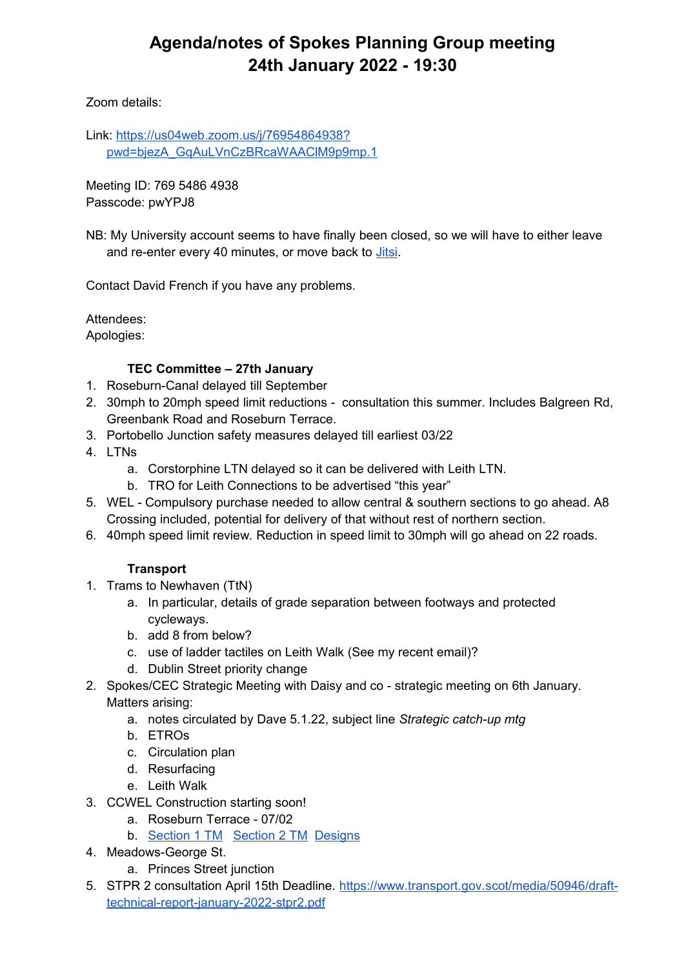# **Agenda/notes of Spokes Planning Group meeting 24th January 2022 - 19:30**

Zoom details:

Link: [https://us04web.zoom.us/j/76954864938?](https://us04web.zoom.us/j/76954864938?pwd=bjezA_GqAuLVnCzBRcaWAAClM9p9mp.1) [pwd=bjezA\\_GqAuLVnCzBRcaWAAClM9p9mp.1](https://us04web.zoom.us/j/76954864938?pwd=bjezA_GqAuLVnCzBRcaWAAClM9p9mp.1)

Meeting ID: 769 5486 4938 Passcode: pwYPJ8

NB: My University account seems to have finally been closed, so we will have to either leave and re-enter every 40 minutes, or move back to *Jitsi*.

Contact David French if you have any problems.

Attendees:

Apologies:

#### **TEC Committee – 27th January**

- 1. Roseburn-Canal delayed till September
- 2. 30mph to 20mph speed limit reductions consultation this summer. Includes Balgreen Rd, Greenbank Road and Roseburn Terrace.
- 3. Portobello Junction safety measures delayed till earliest 03/22
- 4. LTNs
	- a. Corstorphine LTN delayed so it can be delivered with Leith LTN.
	- b. TRO for Leith Connections to be advertised "this year"
- 5. WEL Compulsory purchase needed to allow central & southern sections to go ahead. A8 Crossing included, potential for delivery of that without rest of northern section.
- 6. 40mph speed limit review. Reduction in speed limit to 30mph will go ahead on 22 roads.

# **Transport**

- 1. Trams to Newhaven (TtN)
	- a. In particular, details of grade separation between footways and protected cycleways.
	- b. add 8 from below?
	- c. use of ladder tactiles on Leith Walk (See my recent email)?
	- d. Dublin Street priority change
- 2. Spokes/CEC Strategic Meeting with Daisy and co strategic meeting on 6th January. Matters arising:
	- a. notes circulated by Dave 5.1.22, subject line *Strategic catch-up mtg*
	- b. ETROs
	- c. Circulation plan
	- d. Resurfacing
	- e. Leith Walk
- 3. CCWEL Construction starting soon!
	- a. Roseburn Terrace 07/02
	- b. [Section 1 TM](http://www.edinburgh.gov.uk/ccwel/downloads/download/17/traffic-management-arrangements---section-1) [Section 2 TM](http://www.edinburgh.gov.uk/ccwel/downloads/download/18/traffic-management-arrangements---section-2) [Designs](http://www.edinburgh.gov.uk/ccwel/downloads/download/8/general-arrangements)
- 4. Meadows-George St.
	- a. Princes Street junction
- 5. STPR 2 consultation April 15th Deadline. [https://www.transport.gov.scot/media/50946/draft](https://www.transport.gov.scot/media/50946/draft-technical-report-january-2022-stpr2.pdf)[technical-report-january-2022-stpr2.pdf](https://www.transport.gov.scot/media/50946/draft-technical-report-january-2022-stpr2.pdf)